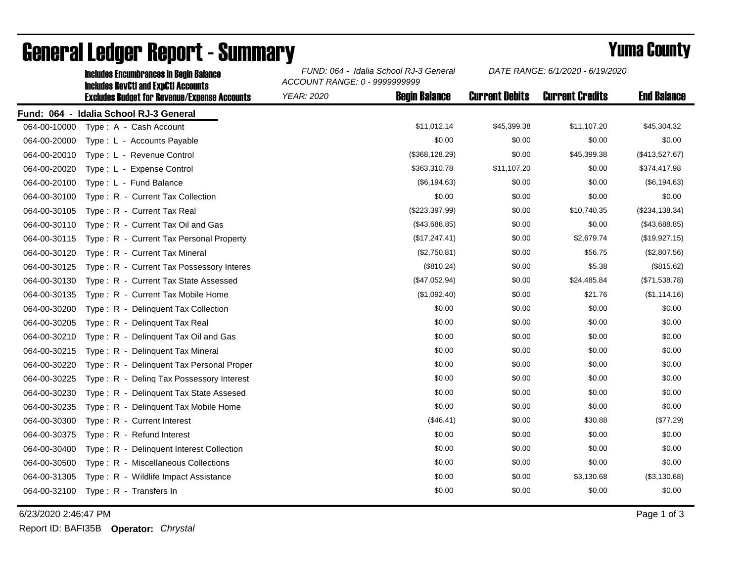|              | IIICIUUCS EIICUIIIDI AIICCS III DCUIII DAIAIICC<br><b>Includes RevCtI and ExpCtI Accounts</b><br><b>Excludes Budget for Revenue/Expense Accounts</b> | ACCOUNT RANGE: 0 - 9999999999 |                      |                       |                        |                    |  |  |
|--------------|------------------------------------------------------------------------------------------------------------------------------------------------------|-------------------------------|----------------------|-----------------------|------------------------|--------------------|--|--|
|              |                                                                                                                                                      | YEAR: 2020                    | <b>Begin Balance</b> | <b>Current Debits</b> | <b>Current Credits</b> | <b>End Balance</b> |  |  |
| Fund: 064 -  | <b>Idalia School RJ-3 General</b>                                                                                                                    |                               |                      |                       |                        |                    |  |  |
| 064-00-10000 | Type: A - Cash Account                                                                                                                               |                               | \$11,012.14          | \$45,399.38           | \$11,107.20            | \$45,304.32        |  |  |
| 064-00-20000 | Type: L - Accounts Payable                                                                                                                           |                               | \$0.00               | \$0.00                | \$0.00                 | \$0.00             |  |  |
| 064-00-20010 | Type: L - Revenue Control                                                                                                                            |                               | (\$368, 128.29)      | \$0.00                | \$45,399.38            | (\$413,527.67)     |  |  |
| 064-00-20020 | Type: L - Expense Control                                                                                                                            |                               | \$363,310.78         | \$11,107.20           | \$0.00                 | \$374,417.98       |  |  |
| 064-00-20100 | Type: L - Fund Balance                                                                                                                               |                               | (\$6,194.63)         | \$0.00                | \$0.00                 | (\$6,194.63)       |  |  |
| 064-00-30100 | Type: R - Current Tax Collection                                                                                                                     |                               | \$0.00               | \$0.00                | \$0.00                 | \$0.00             |  |  |
| 064-00-30105 | Type: R - Current Tax Real                                                                                                                           |                               | (\$223,397.99)       | \$0.00                | \$10,740.35            | (\$234, 138.34)    |  |  |
| 064-00-30110 | Type: R - Current Tax Oil and Gas                                                                                                                    |                               | (\$43,688.85)        | \$0.00                | \$0.00                 | (\$43,688.85)      |  |  |
| 064-00-30115 | Type: R - Current Tax Personal Property                                                                                                              |                               | (\$17, 247.41)       | \$0.00                | \$2,679.74             | (\$19,927.15)      |  |  |
| 064-00-30120 | Type: R - Current Tax Mineral                                                                                                                        |                               | (\$2,750.81)         | \$0.00                | \$56.75                | (\$2,807.56)       |  |  |
| 064-00-30125 | Type: R - Current Tax Possessory Interes                                                                                                             |                               | (\$810.24)           | \$0.00                | \$5.38                 | (\$815.62)         |  |  |
| 064-00-30130 | Type: R - Current Tax State Assessed                                                                                                                 |                               | (\$47,052.94)        | \$0.00                | \$24,485.84            | (\$71,538.78)      |  |  |
| 064-00-30135 | Type: R - Current Tax Mobile Home                                                                                                                    |                               | (\$1,092.40)         | \$0.00                | \$21.76                | (\$1,114.16)       |  |  |
| 064-00-30200 | Type: R - Delinguent Tax Collection                                                                                                                  |                               | \$0.00               | \$0.00                | \$0.00                 | \$0.00             |  |  |
| 064-00-30205 | Type: R - Delinquent Tax Real                                                                                                                        |                               | \$0.00               | \$0.00                | \$0.00                 | \$0.00             |  |  |
| 064-00-30210 | Type: R - Delinquent Tax Oil and Gas                                                                                                                 |                               | \$0.00               | \$0.00                | \$0.00                 | \$0.00             |  |  |
| 064-00-30215 | Type: R - Delinguent Tax Mineral                                                                                                                     |                               | \$0.00               | \$0.00                | \$0.00                 | \$0.00             |  |  |
| 064-00-30220 | Type: R - Delinquent Tax Personal Proper                                                                                                             |                               | \$0.00               | \$0.00                | \$0.00                 | \$0.00             |  |  |
| 064-00-30225 | Type: R - Deling Tax Possessory Interest                                                                                                             |                               | \$0.00               | \$0.00                | \$0.00                 | \$0.00             |  |  |
| 064-00-30230 | Type: R - Delinquent Tax State Assesed                                                                                                               |                               | \$0.00               | \$0.00                | \$0.00                 | \$0.00             |  |  |
| 064-00-30235 | Type: R - Delinquent Tax Mobile Home                                                                                                                 |                               | \$0.00               | \$0.00                | \$0.00                 | \$0.00             |  |  |
| 064-00-30300 | Type: R - Current Interest                                                                                                                           |                               | (\$46.41)            | \$0.00                | \$30.88                | (\$77.29)          |  |  |
| 064-00-30375 | Type: R - Refund Interest                                                                                                                            |                               | \$0.00               | \$0.00                | \$0.00                 | \$0.00             |  |  |
| 064-00-30400 | Type: R - Delinquent Interest Collection                                                                                                             |                               | \$0.00               | \$0.00                | \$0.00                 | \$0.00             |  |  |
| 064-00-30500 | Type: R - Miscellaneous Collections                                                                                                                  |                               | \$0.00               | \$0.00                | \$0.00                 | \$0.00             |  |  |
| 064-00-31305 | Type: R - Wildlife Impact Assistance                                                                                                                 |                               | \$0.00               | \$0.00                | \$3,130.68             | (\$3,130.68)       |  |  |
| 064-00-32100 | Type: R - Transfers In                                                                                                                               |                               | \$0.00               | \$0.00                | \$0.00                 | \$0.00             |  |  |

## General Ledger Report - Summary **Example 2018** Yuma County

Includes Encumbrances in Begin Balance *FUND: 064 - Idalia School RJ-3 General*

6/23/2020 2:46:47 PM Page 1 of 3

Report ID: BAFI35B **Operator:** *Chrystal*

*DATE RANGE: 6/1/2020 - 6/19/2020*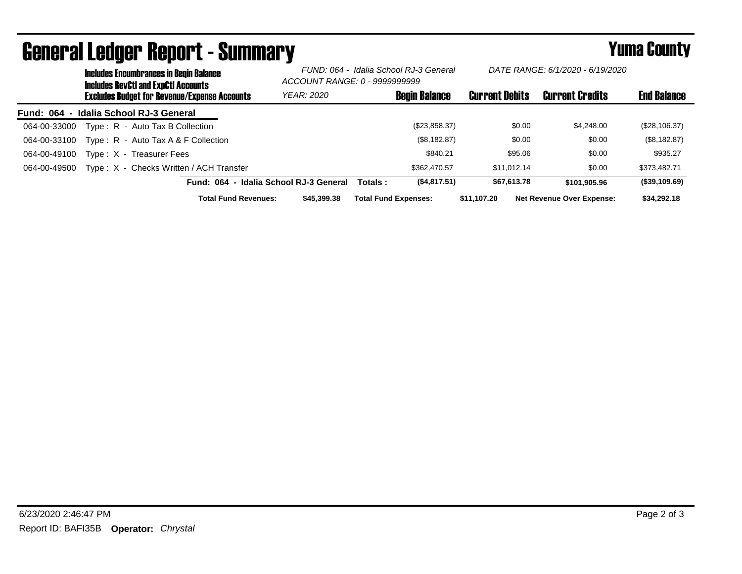| UGIIGI AI LGUYGI HGPUI L´UUIIIIIIAI Y |                                                                                             |                                        |                                                                         |                             |                                  | i umu vvun t          |             |                                  |                    |
|---------------------------------------|---------------------------------------------------------------------------------------------|----------------------------------------|-------------------------------------------------------------------------|-----------------------------|----------------------------------|-----------------------|-------------|----------------------------------|--------------------|
|                                       | <b>Includes Encumbrances in Begin Balance</b><br><b>Includes RevCtI and ExpCtI Accounts</b> |                                        | FUND: 064 - Idalia School RJ-3 General<br>ACCOUNT RANGE: 0 - 9999999999 |                             | DATE RANGE: 6/1/2020 - 6/19/2020 |                       |             |                                  |                    |
|                                       | <b>Excludes Budget for Revenue/Expense Accounts</b>                                         |                                        | <b>YEAR: 2020</b>                                                       |                             | <b>Begin Balance</b>             | <b>Current Debits</b> |             | <b>Current Credits</b>           | <b>End Balance</b> |
|                                       | Fund: 064 - Idalia School RJ-3 General                                                      |                                        |                                                                         |                             |                                  |                       |             |                                  |                    |
| 064-00-33000                          | Type: R - Auto Tax B Collection                                                             |                                        |                                                                         |                             | (\$23,858.37)                    |                       | \$0.00      | \$4,248,00                       | (\$28,106.37)      |
| 064-00-33100                          | Type: R - Auto Tax A & F Collection                                                         |                                        |                                                                         |                             | (\$8,182.87)                     |                       | \$0.00      | \$0.00                           | (\$8,182.87)       |
| 064-00-49100                          | Type: X - Treasurer Fees                                                                    |                                        |                                                                         |                             | \$840.21                         |                       | \$95.06     | \$0.00                           | \$935.27           |
| 064-00-49500                          | Type: X - Checks Written / ACH Transfer                                                     |                                        |                                                                         |                             | \$362,470.57                     |                       | \$11.012.14 | \$0.00                           | \$373,482.71       |
|                                       |                                                                                             | Fund: 064 - Idalia School RJ-3 General |                                                                         | Totals :                    | (\$4,817.51)                     |                       | \$67.613.78 | \$101.905.96                     | (\$39,109.69)      |
|                                       |                                                                                             | <b>Total Fund Revenues:</b>            | \$45,399,38                                                             | <b>Total Fund Expenses:</b> |                                  | \$11,107.20           |             | <b>Net Revenue Over Expense:</b> | \$34,292.18        |

## General Ledger Report - Summary Yuma County